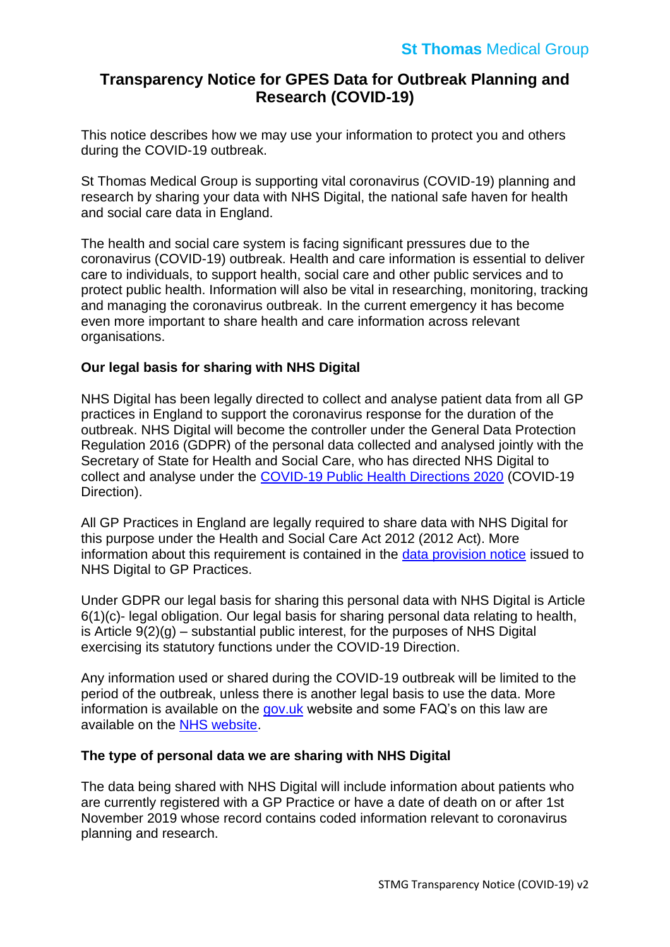# **Transparency Notice for GPES Data for Outbreak Planning and Research (COVID-19)**

This notice describes how we may use your information to protect you and others during the COVID-19 outbreak.

St Thomas Medical Group is supporting vital coronavirus (COVID-19) planning and research by sharing your data with NHS Digital, the national safe haven for health and social care data in England.

The health and social care system is facing significant pressures due to the coronavirus (COVID-19) outbreak. Health and care information is essential to deliver care to individuals, to support health, social care and other public services and to protect public health. Information will also be vital in researching, monitoring, tracking and managing the coronavirus outbreak. In the current emergency it has become even more important to share health and care information across relevant organisations.

# **Our legal basis for sharing with NHS Digital**

NHS Digital has been legally directed to collect and analyse patient data from all GP practices in England to support the coronavirus response for the duration of the outbreak. NHS Digital will become the controller under the General Data Protection Regulation 2016 (GDPR) of the personal data collected and analysed jointly with the Secretary of State for Health and Social Care, who has directed NHS Digital to collect and analyse under the [COVID-19 Public Health Directions 2020](https://digital.nhs.uk/about-nhs-digital/corporate-information-and-documents/directions-and-data-provision-notices/secretary-of-state-directions/covid-19-public-health-directions-2020) (COVID-19 Direction).

All GP Practices in England are legally required to share data with NHS Digital for this purpose under the Health and Social Care Act 2012 (2012 Act). More information about this requirement is contained in the [data provision notice](https://digital.nhs.uk/about-nhs-digital/corporate-information-and-documents/directions-and-data-provision-notices/data-provision-notices-dpns/gpes-data-for-pandemic-planning-and-research) issued to NHS Digital to GP Practices.

Under GDPR our legal basis for sharing this personal data with NHS Digital is Article 6(1)(c)- legal obligation. Our legal basis for sharing personal data relating to health, is Article  $9(2)(q)$  – substantial public interest, for the purposes of NHS Digital exercising its statutory functions under the COVID-19 Direction.

Any information used or shared during the COVID-19 outbreak will be limited to the period of the outbreak, unless there is another legal basis to use the data. More information is available on the [gov.uk](https://www.gov.uk/government/publications/coronavirus-covid-19-notification-of-data-controllers-to-share-information) website and some FAQ's on this law are available on the [NHS website.](https://www.nhsx.nhs.uk/information-governance/guidance/covid-19-ig-advice/)

## **The type of personal data we are sharing with NHS Digital**

The data being shared with NHS Digital will include information about patients who are currently registered with a GP Practice or have a date of death on or after 1st November 2019 whose record contains coded information relevant to coronavirus planning and research.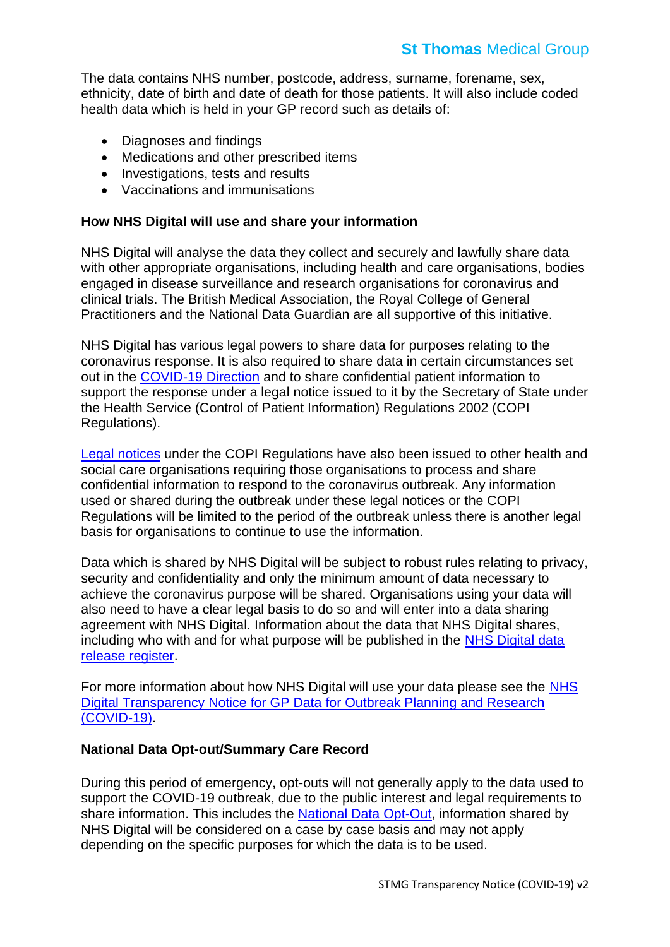The data contains NHS number, postcode, address, surname, forename, sex, ethnicity, date of birth and date of death for those patients. It will also include coded health data which is held in your GP record such as details of:

- Diagnoses and findings
- Medications and other prescribed items
- Investigations, tests and results
- Vaccinations and immunisations

#### **How NHS Digital will use and share your information**

NHS Digital will analyse the data they collect and securely and lawfully share data with other appropriate organisations, including health and care organisations, bodies engaged in disease surveillance and research organisations for coronavirus and clinical trials. The British Medical Association, the Royal College of General Practitioners and the National Data Guardian are all supportive of this initiative.

NHS Digital has various legal powers to share data for purposes relating to the coronavirus response. It is also required to share data in certain circumstances set out in the [COVID-19 Direction](https://digital.nhs.uk/coronavirus/coronavirus-covid-19-response-information-governance-hub/control-of-patient-information-copi-notice) and to share confidential patient information to support the response under a legal notice issued to it by the Secretary of State under the Health Service (Control of Patient Information) Regulations 2002 (COPI Regulations).

[Legal notices](https://www.gov.uk/government/publications/coronavirus-covid-19-notification-of-data-controllers-to-share-information) under the COPI Regulations have also been issued to other health and social care organisations requiring those organisations to process and share confidential information to respond to the coronavirus outbreak. Any information used or shared during the outbreak under these legal notices or the COPI Regulations will be limited to the period of the outbreak unless there is another legal basis for organisations to continue to use the information.

Data which is shared by NHS Digital will be subject to robust rules relating to privacy, security and confidentiality and only the minimum amount of data necessary to achieve the coronavirus purpose will be shared. Organisations using your data will also need to have a clear legal basis to do so and will enter into a data sharing agreement with NHS Digital. Information about the data that NHS Digital shares, including who with and for what purpose will be published in the NHS Digital data [release register.](https://digital.nhs.uk/services/data-access-request-service-dars/data-uses-register)

For more information about how NHS Digital will use your data please see the [NHS](https://digital.nhs.uk/coronavirus/gpes-data-for-pandemic-planning-and-research/transparency-notice-gpes-data-for-pandemic-planning-and-research-covid-19)  [Digital Transparency Notice for GP Data for Outbreak Planning and Research](https://digital.nhs.uk/coronavirus/gpes-data-for-pandemic-planning-and-research/transparency-notice-gpes-data-for-pandemic-planning-and-research-covid-19)  [\(COVID-19\).](https://digital.nhs.uk/coronavirus/gpes-data-for-pandemic-planning-and-research/transparency-notice-gpes-data-for-pandemic-planning-and-research-covid-19)

## **National Data Opt-out/Summary Care Record**

During this period of emergency, opt-outs will not generally apply to the data used to support the COVID-19 outbreak, due to the public interest and legal requirements to share information. This includes the [National Data Opt-Out,](https://www.nhs.uk/your-nhs-data-matters/) information shared by NHS Digital will be considered on a case by case basis and may not apply depending on the specific purposes for which the data is to be used.